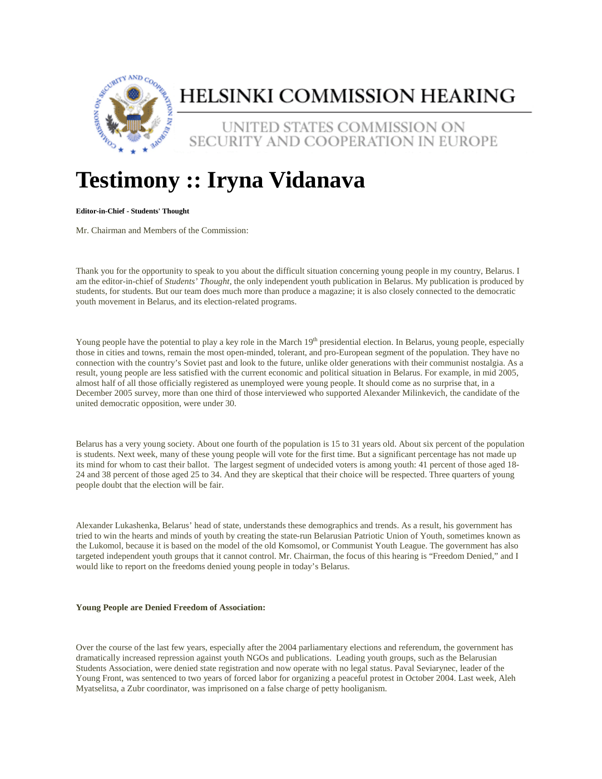

# HELSINKI COMMISSION HEARING

UNITED STATES COMMISSION ON SECURITY AND COOPERATION IN EUROPE

# **Testimony :: Iryna Vidanava**

### **Editor-in-Chief - Students' Thought**

Mr. Chairman and Members of the Commission:

Thank you for the opportunity to speak to you about the difficult situation concerning young people in my country, Belarus. I am the editor-in-chief of *Students' Thought*, the only independent youth publication in Belarus. My publication is produced by students, for students. But our team does much more than produce a magazine; it is also closely connected to the democratic youth movement in Belarus, and its election-related programs.

Young people have the potential to play a key role in the March 19<sup>th</sup> presidential election. In Belarus, young people, especially those in cities and towns, remain the most open-minded, tolerant, and pro-European segment of the population. They have no connection with the country's Soviet past and look to the future, unlike older generations with their communist nostalgia. As a result, young people are less satisfied with the current economic and political situation in Belarus. For example, in mid 2005, almost half of all those officially registered as unemployed were young people. It should come as no surprise that, in a December 2005 survey, more than one third of those interviewed who supported Alexander Milinkevich, the candidate of the united democratic opposition, were under 30.

Belarus has a very young society. About one fourth of the population is 15 to 31 years old. About six percent of the population is students. Next week, many of these young people will vote for the first time. But a significant percentage has not made up its mind for whom to cast their ballot. The largest segment of undecided voters is among youth: 41 percent of those aged 18- 24 and 38 percent of those aged 25 to 34. And they are skeptical that their choice will be respected. Three quarters of young people doubt that the election will be fair.

Alexander Lukashenka, Belarus' head of state, understands these demographics and trends. As a result, his government has tried to win the hearts and minds of youth by creating the state-run Belarusian Patriotic Union of Youth, sometimes known as the Lukomol, because it is based on the model of the old Komsomol, or Communist Youth League. The government has also targeted independent youth groups that it cannot control. Mr. Chairman, the focus of this hearing is "Freedom Denied," and I would like to report on the freedoms denied young people in today's Belarus.

#### **Young People are Denied Freedom of Association:**

Over the course of the last few years, especially after the 2004 parliamentary elections and referendum, the government has dramatically increased repression against youth NGOs and publications. Leading youth groups, such as the Belarusian Students Association, were denied state registration and now operate with no legal status. Paval Seviarynec, leader of the Young Front, was sentenced to two years of forced labor for organizing a peaceful protest in October 2004. Last week, Aleh Myatselitsa, a Zubr coordinator, was imprisoned on a false charge of petty hooliganism.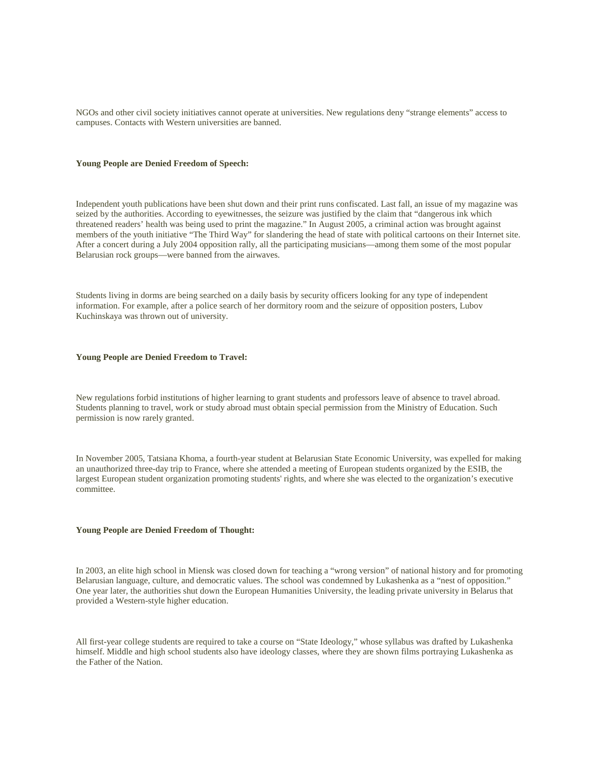NGOs and other civil society initiatives cannot operate at universities. New regulations deny "strange elements" access to campuses. Contacts with Western universities are banned.

#### **Young People are Denied Freedom of Speech:**

Independent youth publications have been shut down and their print runs confiscated. Last fall, an issue of my magazine was seized by the authorities. According to eyewitnesses, the seizure was justified by the claim that "dangerous ink which threatened readers' health was being used to print the magazine." In August 2005, a criminal action was brought against members of the youth initiative "The Third Way" for slandering the head of state with political cartoons on their Internet site. After a concert during a July 2004 opposition rally, all the participating musicians—among them some of the most popular Belarusian rock groups—were banned from the airwaves.

Students living in dorms are being searched on a daily basis by security officers looking for any type of independent information. For example, after a police search of her dormitory room and the seizure of opposition posters, Lubov Kuchinskaya was thrown out of university.

#### **Young People are Denied Freedom to Travel:**

New regulations forbid institutions of higher learning to grant students and professors leave of absence to travel abroad. Students planning to travel, work or study abroad must obtain special permission from the Ministry of Education. Such permission is now rarely granted.

In November 2005, Tatsiana Khoma, a fourth-year student at Belarusian State Economic University, was expelled for making an unauthorized three-day trip to France, where she attended a meeting of European students organized by the ESIB, the largest European student organization promoting students' rights, and where she was elected to the organization's executive committee.

## **Young People are Denied Freedom of Thought:**

In 2003, an elite high school in Miensk was closed down for teaching a "wrong version" of national history and for promoting Belarusian language, culture, and democratic values. The school was condemned by Lukashenka as a "nest of opposition." One year later, the authorities shut down the European Humanities University, the leading private university in Belarus that provided a Western-style higher education.

All first-year college students are required to take a course on "State Ideology," whose syllabus was drafted by Lukashenka himself. Middle and high school students also have ideology classes, where they are shown films portraying Lukashenka as the Father of the Nation.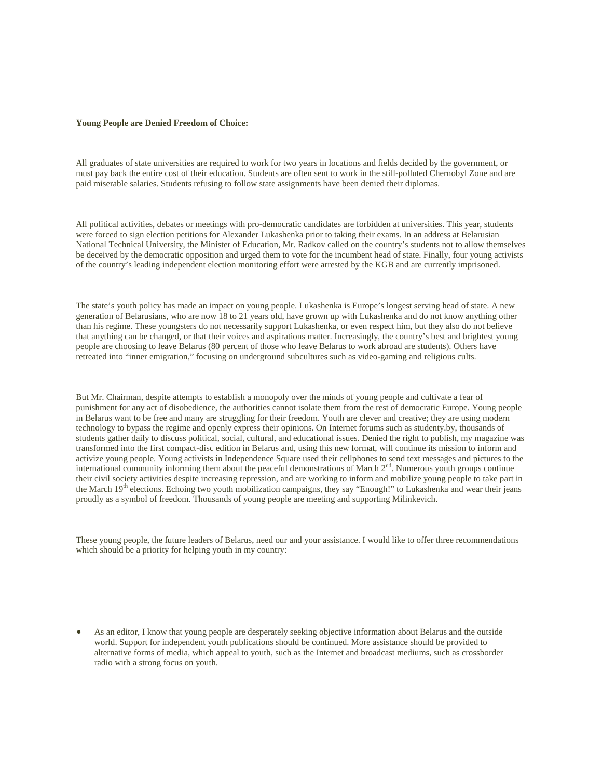#### **Young People are Denied Freedom of Choice:**

All graduates of state universities are required to work for two years in locations and fields decided by the government, or must pay back the entire cost of their education. Students are often sent to work in the still-polluted Chernobyl Zone and are paid miserable salaries. Students refusing to follow state assignments have been denied their diplomas.

All political activities, debates or meetings with pro-democratic candidates are forbidden at universities. This year, students were forced to sign election petitions for Alexander Lukashenka prior to taking their exams. In an address at Belarusian National Technical University, the Minister of Education, Mr. Radkov called on the country's students not to allow themselves be deceived by the democratic opposition and urged them to vote for the incumbent head of state. Finally, four young activists of the country's leading independent election monitoring effort were arrested by the KGB and are currently imprisoned.

The state's youth policy has made an impact on young people. Lukashenka is Europe's longest serving head of state. A new generation of Belarusians, who are now 18 to 21 years old, have grown up with Lukashenka and do not know anything other than his regime. These youngsters do not necessarily support Lukashenka, or even respect him, but they also do not believe that anything can be changed, or that their voices and aspirations matter. Increasingly, the country's best and brightest young people are choosing to leave Belarus (80 percent of those who leave Belarus to work abroad are students). Others have retreated into "inner emigration," focusing on underground subcultures such as video-gaming and religious cults.

But Mr. Chairman, despite attempts to establish a monopoly over the minds of young people and cultivate a fear of punishment for any act of disobedience, the authorities cannot isolate them from the rest of democratic Europe. Young people in Belarus want to be free and many are struggling for their freedom. Youth are clever and creative; they are using modern technology to bypass the regime and openly express their opinions. On Internet forums such as studenty.by, thousands of students gather daily to discuss political, social, cultural, and educational issues. Denied the right to publish, my magazine was transformed into the first compact-disc edition in Belarus and, using this new format, will continue its mission to inform and activize young people. Young activists in Independence Square used their cellphones to send text messages and pictures to the international community informing them about the peaceful demonstrations of March 2<sup>nd</sup>. Numerous youth groups continue their civil society activities despite increasing repression, and are working to inform and mobilize young people to take part in the March 19<sup>th</sup> elections. Echoing two youth mobilization campaigns, they say "Enough!" to Lukashenka and wear their jeans proudly as a symbol of freedom. Thousands of young people are meeting and supporting Milinkevich.

These young people, the future leaders of Belarus, need our and your assistance. I would like to offer three recommendations which should be a priority for helping youth in my country:

• As an editor, I know that young people are desperately seeking objective information about Belarus and the outside world. Support for independent youth publications should be continued. More assistance should be provided to alternative forms of media, which appeal to youth, such as the Internet and broadcast mediums, such as crossborder radio with a strong focus on youth.